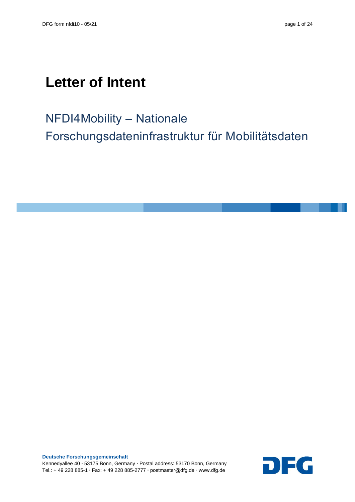# **Letter of Intent**

NFDI4Mobility – Nationale Forschungsdateninfrastruktur für Mobilitätsdaten

**Deutsche Forschungsgemeinschaft** Kennedyallee 40 **∙** 53175 Bonn, Germany **∙** Postal address: 53170 Bonn, Germany Tel.: + 49 228 885-1 **∙** Fax: + 49 228 885-2777 **∙** postmaster@dfg.de ∙ www.dfg.de

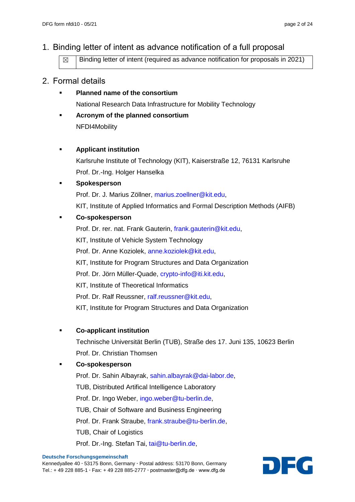# 1. Binding letter of intent as advance notification of a full proposal

 $\boxtimes$  | Binding letter of intent (required as advance notification for proposals in 2021)

### 2. Formal details

- **Planned name of the consortium** National Research Data Infrastructure for Mobility Technology
- **Acronym of the planned consortium** NFDI4Mobility

#### **Applicant institution**

Karlsruhe Institute of Technology (KIT), Kaiserstraße 12, 76131 Karlsruhe Prof. Dr.-Ing. Holger Hanselka

#### **Spokesperson**

Prof. Dr. J. Marius Zöllner, [marius.zoellner@kit.edu,](mailto:marius.zoellner@kit.edu) KIT, Institute of Applied Informatics and Formal Description Methods (AIFB)

#### **Co-spokesperson**

Prof. Dr. rer. nat. Frank Gauterin, [frank.gauterin@kit.edu,](mailto:frank.gauterin@kit.edu) KIT, Institute of Vehicle System Technology Prof. Dr. Anne Koziolek, [anne.koziolek@kit.edu,](mailto:anne.koziolek@kit.edu) KIT, Institute for Program Structures and Data Organization Prof. Dr. Jörn Müller-Quade, [crypto-info@iti.kit.edu,](mailto:crypto-info@iti.kit.edu) KIT, Institute of Theoretical Informatics Prof. Dr. Ralf Reussner, [ralf.reussner@kit.edu,](mailto:ralf.reussner@kit.edu) KIT, Institute for Program Structures and Data Organization

#### **Co-applicant institution**

Technische Universität Berlin (TUB), Straße des 17. Juni 135, 10623 Berlin Prof. Dr. Christian Thomsen

#### **Co-spokesperson**

Prof. Dr. Sahin Albayrak, [sahin.albayrak@dai-labor.de,](mailto:sahin.albayrak@dai-labor.de) TUB, Distributed Artifical Intelligence Laboratory Prof. Dr. Ingo Weber, [ingo.weber@tu-berlin.de,](mailto:ingo.weber@tu-berlin.de) TUB, Chair of Software and Business Engineering Prof. Dr. Frank Straube, [frank.straube@tu-berlin.de,](mailto:frank.straube@tu-berlin.de) TUB, Chair of Logistics Prof. Dr.-Ing. Stefan Tai, [tai@tu-berlin.de,](mailto:tai@tu-berlin.de)

Kennedyallee 40 **∙** 53175 Bonn, Germany **∙** Postal address: 53170 Bonn, Germany Tel.: + 49 228 885-1 **∙** Fax: + 49 228 885-2777 **∙** postmaster@dfg.de ∙ www.dfg.de

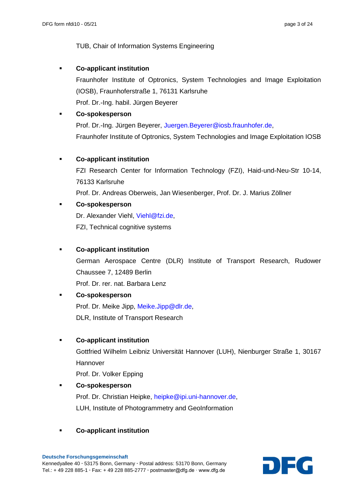TUB, Chair of Information Systems Engineering

#### **Co-applicant institution**

Fraunhofer Institute of Optronics, System Technologies and Image Exploitation (IOSB), Fraunhoferstraße 1, 76131 Karlsruhe Prof. Dr.-Ing. habil. Jürgen Beyerer

#### **Co-spokesperson**

Prof. Dr.-Ing. Jürgen Beyerer, [Juergen.Beyerer@iosb.fraunhofer.de,](mailto:Juergen.Beyerer@iosb.fraunhofer.de) Fraunhofer Institute of Optronics, System Technologies and Image Exploitation IOSB

#### **Co-applicant institution**

FZI Research Center for Information Technology (FZI), Haid-und-Neu-Str 10-14, 76133 Karlsruhe Prof. Dr. Andreas Oberweis, Jan Wiesenberger, Prof. Dr. J. Marius Zöllner

#### **Co-spokesperson**

Dr. Alexander Viehl, [Viehl@fzi.de,](mailto:Viehl@fzi.de) FZI, Technical cognitive systems

#### **Co-applicant institution**

German Aerospace Centre (DLR) Institute of Transport Research, Rudower Chaussee 7, 12489 Berlin

Prof. Dr. rer. nat. Barbara Lenz

# **Co-spokesperson** Prof. Dr. Meike Jipp, [Meike.Jipp@dlr.de,](mailto:Meike.Jipp@dlr.de) DLR, Institute of Transport Research

#### **Co-applicant institution**

Gottfried Wilhelm Leibniz Universität Hannover (LUH), Nienburger Straße 1, 30167 Hannover

Prof. Dr. Volker Epping

#### **Co-spokesperson**

Prof. Dr. Christian Heipke, [heipke@ipi.uni-hannover.de,](mailto:heipke@ipi.uni-hannover.de) LUH, Institute of Photogrammetry and GeoInformation

#### **Co-applicant institution**

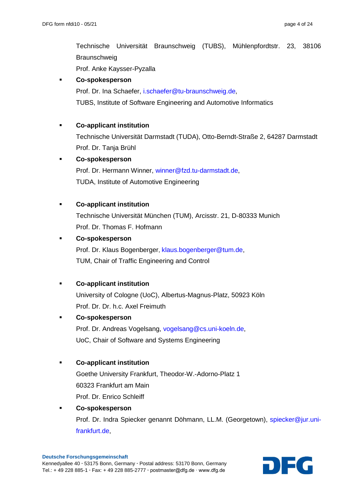Technische Universität Braunschweig (TUBS), Mühlenpfordtstr. 23, 38106 **Braunschweig** Prof. Anke Kaysser-Pyzalla

#### **Co-spokesperson**

Prof. Dr. Ina Schaefer, [i.schaefer@tu-braunschweig.de,](mailto:i.schaefer@tu-braunschweig.de)

TUBS, Institute of Software Engineering and Automotive Informatics

#### **Co-applicant institution**

Technische Universität Darmstadt (TUDA), Otto-Berndt-Straße 2, 64287 Darmstadt Prof. Dr. Tanja Brühl

#### **Co-spokesperson**

Prof. Dr. Hermann Winner, [winner@fzd.tu-darmstadt.de,](mailto:winner@fzd.tu-darmstadt.de) TUDA, Institute of Automotive Engineering

#### **Co-applicant institution**

Technische Universität München (TUM), Arcisstr. 21, D-80333 Munich Prof. Dr. Thomas F. Hofmann

#### **Co-spokesperson**

Prof. Dr. Klaus Bogenberger, [klaus.bogenberger@tum.de,](mailto:klaus.bogenberger@tum.de) TUM, Chair of Traffic Engineering and Control

#### **Co-applicant institution**

University of Cologne (UoC), Albertus-Magnus-Platz, 50923 Köln Prof. Dr. Dr. h.c. Axel Freimuth

#### **Co-spokesperson**

Prof. Dr. Andreas Vogelsang, [vogelsang@cs.uni-koeln.de,](mailto:vogelsang@cs.uni-koeln.de) UoC, Chair of Software and Systems Engineering

#### **Co-applicant institution**

Goethe University Frankfurt, Theodor-W.-Adorno-Platz 1 60323 Frankfurt am Main Prof. Dr. Enrico Schleiff

#### **Co-spokesperson**

Prof. Dr. Indra Spiecker genannt Döhmann, LL.M. (Georgetown), [spiecker@jur.uni](mailto:spiecker@jur.uni-frankfurt.de)[frankfurt.de,](mailto:spiecker@jur.uni-frankfurt.de)

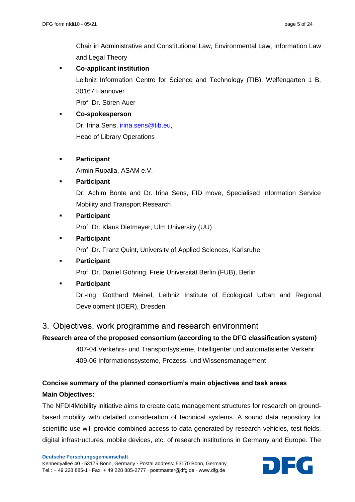Chair in Administrative and Constitutional Law, Environmental Law, Information Law and Legal Theory

 **Co-applicant institution** Leibniz Information Centre for Science and Technology (TIB), Welfengarten 1 B, 30167 Hannover Prof. Dr. Sören Auer

 **Co-spokesperson** Dr. Irina Sens, [irina.sens@tib.eu,](mailto:irina.sens@tib.eu) Head of Library Operations

 **Participant** Armin Rupalla, ASAM e.V.

# **Participant** Dr. Achim Bonte and Dr. Irina Sens, FID move, Specialised Information Service Mobility and Transport Research

**Participant**

Prof. Dr. Klaus Dietmayer, Ulm University (UU)

**Participant**

Prof. Dr. Franz Quint, University of Applied Sciences, Karlsruhe

**Participant**

Prof. Dr. Daniel Göhring, Freie Universität Berlin (FUB), Berlin

**Participant**

Dr.-Ing. Gotthard Meinel, Leibniz Institute of Ecological Urban and Regional Development (IOER), Dresden

### 3. Objectives, work programme and research environment

#### **Research area of the proposed consortium (according to the DFG classification system)**

407-04 Verkehrs- und Transportsysteme, Intelligenter und automatisierter Verkehr 409-06 Informationssysteme, Prozess- und Wissensmanagement

# **Concise summary of the planned consortium's main objectives and task areas Main Objectives:**

The NFDI4Mobility initiative aims to create data management structures for research on groundbased mobility with detailed consideration of technical systems. A sound data repository for scientific use will provide combined access to data generated by research vehicles, test fields, digital infrastructures, mobile devices, etc. of research institutions in Germany and Europe. The

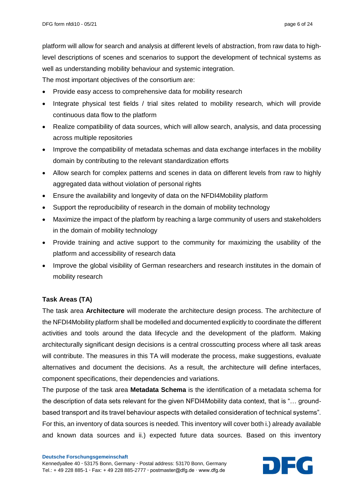platform will allow for search and analysis at different levels of abstraction, from raw data to highlevel descriptions of scenes and scenarios to support the development of technical systems as well as understanding mobility behaviour and systemic integration.

The most important objectives of the consortium are:

- Provide easy access to comprehensive data for mobility research
- Integrate physical test fields / trial sites related to mobility research, which will provide continuous data flow to the platform
- Realize compatibility of data sources, which will allow search, analysis, and data processing across multiple repositories
- Improve the compatibility of metadata schemas and data exchange interfaces in the mobility domain by contributing to the relevant standardization efforts
- Allow search for complex patterns and scenes in data on different levels from raw to highly aggregated data without violation of personal rights
- Ensure the availability and longevity of data on the NFDI4Mobility platform
- Support the reproducibility of research in the domain of mobility technology
- Maximize the impact of the platform by reaching a large community of users and stakeholders in the domain of mobility technology
- Provide training and active support to the community for maximizing the usability of the platform and accessibility of research data
- Improve the global visibility of German researchers and research institutes in the domain of mobility research

#### **Task Areas (TA)**

The task area **Architecture** will moderate the architecture design process. The architecture of the NFDI4Mobility platform shall be modelled and documented explicitly to coordinate the different activities and tools around the data lifecycle and the development of the platform. Making architecturally significant design decisions is a central crosscutting process where all task areas will contribute. The measures in this TA will moderate the process, make suggestions, evaluate alternatives and document the decisions. As a result, the architecture will define interfaces, component specifications, their dependencies and variations.

The purpose of the task area **Metadata Schema** is the identification of a metadata schema for the description of data sets relevant for the given NFDI4Mobility data context, that is "… groundbased transport and its travel behaviour aspects with detailed consideration of technical systems". For this, an inventory of data sources is needed. This inventory will cover both i.) already available and known data sources and ii.) expected future data sources. Based on this inventory

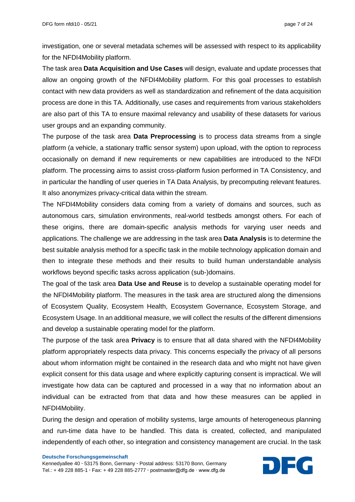investigation, one or several metadata schemes will be assessed with respect to its applicability for the NFDI4Mobility platform.

The task area **Data Acquisition and Use Cases** will design, evaluate and update processes that allow an ongoing growth of the NFDI4Mobility platform. For this goal processes to establish contact with new data providers as well as standardization and refinement of the data acquisition process are done in this TA. Additionally, use cases and requirements from various stakeholders are also part of this TA to ensure maximal relevancy and usability of these datasets for various user groups and an expanding community.

The purpose of the task area **Data Preprocessing** is to process data streams from a single platform (a vehicle, a stationary traffic sensor system) upon upload, with the option to reprocess occasionally on demand if new requirements or new capabilities are introduced to the NFDI platform. The processing aims to assist cross-platform fusion performed in TA Consistency, and in particular the handling of user queries in TA Data Analysis, by precomputing relevant features. It also anonymizes privacy-critical data within the stream.

The NFDI4Mobility considers data coming from a variety of domains and sources, such as autonomous cars, simulation environments, real-world testbeds amongst others. For each of these origins, there are domain-specific analysis methods for varying user needs and applications. The challenge we are addressing in the task area **Data Analysis** is to determine the best suitable analysis method for a specific task in the mobile technology application domain and then to integrate these methods and their results to build human understandable analysis workflows beyond specific tasks across application (sub-)domains.

The goal of the task area **Data Use and Reuse** is to develop a sustainable operating model for the NFDI4Mobility platform. The measures in the task area are structured along the dimensions of Ecosystem Quality, Ecosystem Health, Ecosystem Governance, Ecosystem Storage, and Ecosystem Usage. In an additional measure, we will collect the results of the different dimensions and develop a sustainable operating model for the platform.

The purpose of the task area **Privacy** is to ensure that all data shared with the NFDI4Mobility platform appropriately respects data privacy. This concerns especially the privacy of all persons about whom information might be contained in the research data and who might not have given explicit consent for this data usage and where explicitly capturing consent is impractical. We will investigate how data can be captured and processed in a way that no information about an individual can be extracted from that data and how these measures can be applied in NFDI4Mobility.

During the design and operation of mobility systems, large amounts of heterogeneous planning and run-time data have to be handled. This data is created, collected, and manipulated independently of each other, so integration and consistency management are crucial. In the task

Kennedyallee 40 **∙** 53175 Bonn, Germany **∙** Postal address: 53170 Bonn, Germany Tel.: + 49 228 885-1 **∙** Fax: + 49 228 885-2777 **∙** postmaster@dfg.de ∙ www.dfg.de

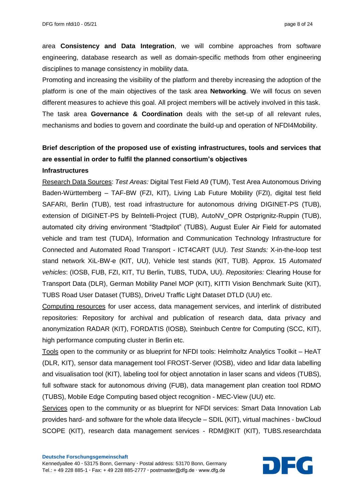area **Consistency and Data Integration**, we will combine approaches from software engineering, database research as well as domain-specific methods from other engineering disciplines to manage consistency in mobility data.

Promoting and increasing the visibility of the platform and thereby increasing the adoption of the platform is one of the main objectives of the task area **Networking**. We will focus on seven different measures to achieve this goal. All project members will be actively involved in this task. The task area **Governance & Coordination** deals with the set-up of all relevant rules, mechanisms and bodies to govern and coordinate the build-up and operation of NFDI4Mobility.

# **Brief description of the proposed use of existing infrastructures, tools and services that are essential in order to fulfil the planned consortium's objectives**

#### **Infrastructures**

Research Data Sources: *Test Areas:* Digital Test Field A9 (TUM), Test Area Autonomous Driving Baden-Württemberg – TAF-BW (FZI, KIT), Living Lab Future Mobility (FZI), digital test field SAFARI, Berlin (TUB), test road infrastructure for autonomous driving DIGINET-PS (TUB), extension of DIGINET-PS by Belntelli-Project (TUB), AutoNV\_OPR Ostprignitz-Ruppin (TUB), automated city driving environment "Stadtpilot" (TUBS), August Euler Air Field for automated vehicle and tram test (TUDA), Information and Communication Technology Infrastructure for Connected and Automated Road Transport - ICT4CART (UU). *Test Stands:* X-in-the-loop test stand network XiL-BW-e (KIT, UU), Vehicle test stands (KIT, TUB). Approx. 15 *Automated vehicles*: (IOSB, FUB, FZI, KIT, TU Berlin, TUBS, TUDA, UU). *Repositories:* Clearing House for Transport Data (DLR), German Mobility Panel MOP (KIT), KITTI Vision Benchmark Suite (KIT), TUBS Road User Dataset (TUBS), DriveU Traffic Light Dataset DTLD (UU) etc.

Computing resources for user access, data management services, and interlink of distributed repositories: Repository for archival and publication of research data, data privacy and anonymization RADAR (KIT), FORDATIS (IOSB), Steinbuch Centre for Computing (SCC, KIT), high performance computing cluster in Berlin etc.

Tools open to the community or as blueprint for NFDI tools: Helmholtz Analytics Toolkit – HeAT (DLR, KIT), sensor data management tool FROST-Server (IOSB), video and lidar data labelling and visualisation tool (KIT), labeling tool for object annotation in laser scans and videos (TUBS), full software stack for autonomous driving (FUB), data management plan creation tool RDMO (TUBS), Mobile Edge Computing based object recognition - MEC-View (UU) etc.

Services open to the community or as blueprint for NFDI services: Smart Data Innovation Lab provides hard- and software for the whole data lifecycle – SDIL (KIT), virtual machines - bwCloud SCOPE (KIT), research data management services - RDM@KIT (KIT), TUBS.researchdata

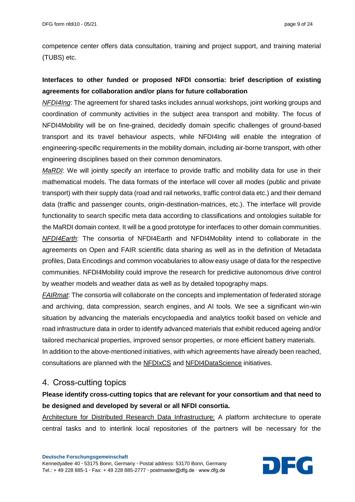competence center offers data consultation, training and project support, and training material (TUBS) etc.

# **Interfaces to other funded or proposed NFDI consortia: brief description of existing agreements for collaboration and/or plans for future collaboration**

*NFDI4Ing*: The agreement for shared tasks includes annual workshops, joint working groups and coordination of community activities in the subject area transport and mobility. The focus of NFDI4Mobility will be on fine-grained, decidedly domain specific challenges of ground-based transport and its travel behaviour aspects, while NFDI4Ing will enable the integration of engineering-specific requirements in the mobility domain, including air-borne transport, with other engineering disciplines based on their common denominators.

*MaRDI*: We will jointly specify an interface to provide traffic and mobility data for use in their mathematical models. The data formats of the interface will cover all modes (public and private transport) with their supply data (road and rail networks, traffic control data etc.) and their demand data (traffic and passenger counts, origin-destination-matrices, etc.). The interface will provide functionality to search specific meta data according to classifications and ontologies suitable for the MaRDI domain context. It will be a good prototype for interfaces to other domain communities. *NFDI4Earth*: The consortia of NFDI4Earth and NFDI4Mobility intend to collaborate in the agreements on Open and FAIR scientific data sharing as well as in the definition of Metadata profiles, Data Encodings and common vocabularies to allow easy usage of data for the respective communities. NFDI4Mobility could improve the research for predictive autonomous drive control by weather models and weather data as well as by detailed topography maps.

*FAIRmat*: The consortia will collaborate on the concepts and implementation of federated storage and archiving, data compression, search engines, and AI tools. We see a significant win-win situation by advancing the materials encyclopaedia and analytics toolkit based on vehicle and road infrastructure data in order to identify advanced materials that exhibit reduced ageing and/or tailored mechanical properties, improved sensor properties, or more efficient battery materials. In addition to the above-mentioned initiatives, with which agreements have already been reached, consultations are planned with the NFDIxCS and NFDI4DataScience initiatives.

# 4. Cross-cutting topics

# **Please identify cross-cutting topics that are relevant for your consortium and that need to be designed and developed by several or all NFDI consortia.**

Architecture for Distributed Research Data Infrastructure: A platform architecture to operate central tasks and to interlink local repositories of the partners will be necessary for the

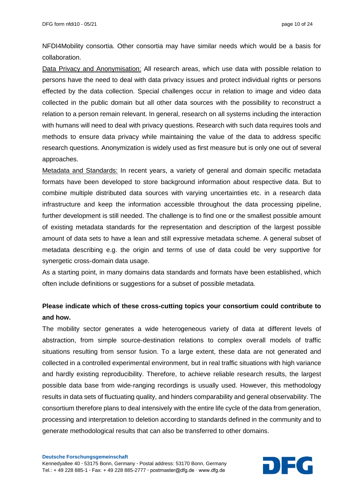NFDI4Mobility consortia. Other consortia may have similar needs which would be a basis for collaboration.

Data Privacy and Anonymisation: All research areas, which use data with possible relation to persons have the need to deal with data privacy issues and protect individual rights or persons effected by the data collection. Special challenges occur in relation to image and video data collected in the public domain but all other data sources with the possibility to reconstruct a relation to a person remain relevant. In general, research on all systems including the interaction with humans will need to deal with privacy questions. Research with such data requires tools and methods to ensure data privacy while maintaining the value of the data to address specific research questions. Anonymization is widely used as first measure but is only one out of several approaches.

Metadata and Standards: In recent years, a variety of general and domain specific metadata formats have been developed to store background information about respective data. But to combine multiple distributed data sources with varying uncertainties etc. in a research data infrastructure and keep the information accessible throughout the data processing pipeline, further development is still needed. The challenge is to find one or the smallest possible amount of existing metadata standards for the representation and description of the largest possible amount of data sets to have a lean and still expressive metadata scheme. A general subset of metadata describing e.g. the origin and terms of use of data could be very supportive for synergetic cross-domain data usage.

As a starting point, in many domains data standards and formats have been established, which often include definitions or suggestions for a subset of possible metadata.

# **Please indicate which of these cross-cutting topics your consortium could contribute to and how.**

The mobility sector generates a wide heterogeneous variety of data at different levels of abstraction, from simple source-destination relations to complex overall models of traffic situations resulting from sensor fusion. To a large extent, these data are not generated and collected in a controlled experimental environment, but in real traffic situations with high variance and hardly existing reproducibility. Therefore, to achieve reliable research results, the largest possible data base from wide-ranging recordings is usually used. However, this methodology results in data sets of fluctuating quality, and hinders comparability and general observability. The consortium therefore plans to deal intensively with the entire life cycle of the data from generation, processing and interpretation to deletion according to standards defined in the community and to generate methodological results that can also be transferred to other domains.

Kennedyallee 40 **∙** 53175 Bonn, Germany **∙** Postal address: 53170 Bonn, Germany Tel.: + 49 228 885-1 **∙** Fax: + 49 228 885-2777 **∙** postmaster@dfg.de ∙ www.dfg.de